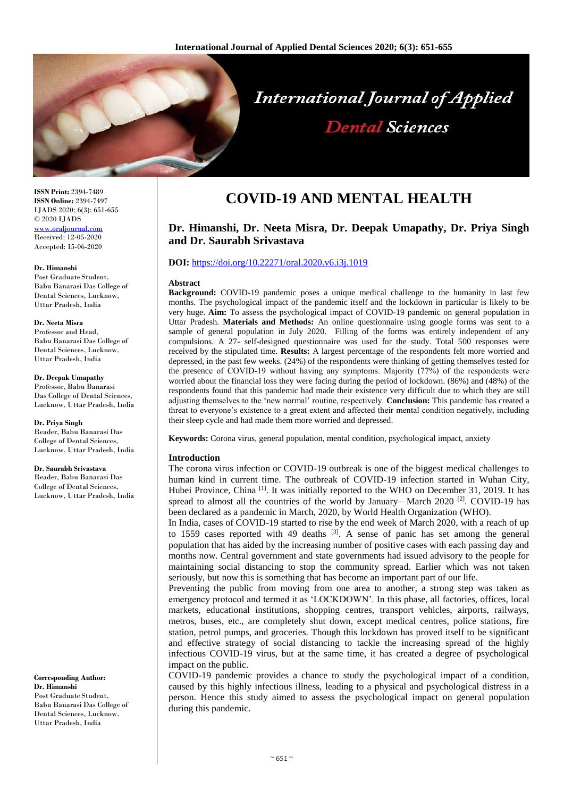

**ISSN Print:** 2394-7489 **ISSN Online:** 2394-7497 IJADS 2020; 6(3): 651-655 © 2020 IJADS [www.oraljournal.com](file:///D:/2020%20files/01-09-2020/25-09-2020/Dental/www.oraljournal.com) Received: 12-05-2020 Accepted: 15-06-2020

#### **Dr. Himanshi**

Post Graduate Student, Babu Banarasi Das College of Dental Sciences, Lucknow, Uttar Pradesh, India

#### **Dr. Neeta Misra**

Professor and Head, Babu Banarasi Das College of Dental Sciences, Lucknow, Uttar Pradesh, India

#### **Dr. Deepak Umapathy**

Professor, Babu Banarasi Das College of Dental Sciences, Lucknow, Uttar Pradesh, India

**Dr. Priya Singh** Reader, Babu Banarasi Das College of Dental Sciences, Lucknow, Uttar Pradesh, India

#### **Dr. Saurabh Srivastava**

Reader, Babu Banarasi Das College of Dental Sciences, Lucknow, Uttar Pradesh, India

**Corresponding Author: Dr. Himanshi** Post Graduate Student, Babu Banarasi Das College of Dental Sciences, Lucknow, Uttar Pradesh, India

# **COVID-19 AND MENTAL HEALTH**

# **Dr. Himanshi, Dr. Neeta Misra, Dr. Deepak Umapathy, Dr. Priya Singh and Dr. Saurabh Srivastava**

## **DOI:** <https://doi.org/10.22271/oral.2020.v6.i3j.1019>

#### **Abstract**

**Background:** COVID-19 pandemic poses a unique medical challenge to the humanity in last few months. The psychological impact of the pandemic itself and the lockdown in particular is likely to be very huge. **Aim:** To assess the psychological impact of COVID-19 pandemic on general population in Uttar Pradesh. **Materials and Methods:** An online questionnaire using google forms was sent to a sample of general population in July 2020. Filling of the forms was entirely independent of any compulsions. A 27- self-designed questionnaire was used for the study. Total 500 responses were received by the stipulated time. **Results:** A largest percentage of the respondents felt more worried and depressed, in the past few weeks. (24%) of the respondents were thinking of getting themselves tested for the presence of COVID-19 without having any symptoms. Majority (77%) of the respondents were worried about the financial loss they were facing during the period of lockdown. (86%) and (48%) of the respondents found that this pandemic had made their existence very difficult due to which they are still adjusting themselves to the 'new normal' routine, respectively. **Conclusion:** This pandemic has created a threat to everyone's existence to a great extent and affected their mental condition negatively, including their sleep cycle and had made them more worried and depressed.

**Keywords:** Corona virus, general population, mental condition, psychological impact, anxiety

#### **Introduction**

The corona virus infection or COVID-19 outbreak is one of the biggest medical challenges to human kind in current time. The outbreak of COVID-19 infection started in Wuhan City, Hubei Province, China <a>[1]</a>. It was initially reported to the WHO on December 31, 2019. It has spread to almost all the countries of the world by January– March 2020  $^{[2]}$ . COVID-19 has been declared as a pandemic in March, 2020, by World Health Organization (WHO).

In India, cases of COVID-19 started to rise by the end week of March 2020, with a reach of up to 1559 cases reported with 49 deaths <sup>[3]</sup>. A sense of panic has set among the general population that has aided by the increasing number of positive cases with each passing day and months now. Central government and state governments had issued advisory to the people for maintaining social distancing to stop the community spread. Earlier which was not taken seriously, but now this is something that has become an important part of our life.

Preventing the public from moving from one area to another, a strong step was taken as emergency protocol and termed it as 'LOCKDOWN'. In this phase, all factories, offices, local markets, educational institutions, shopping centres, transport vehicles, airports, railways, metros, buses, etc., are completely shut down, except medical centres, police stations, fire station, petrol pumps, and groceries. Though this lockdown has proved itself to be significant and effective strategy of social distancing to tackle the increasing spread of the highly infectious COVID-19 virus, but at the same time, it has created a degree of psychological impact on the public.

COVID-19 pandemic provides a chance to study the psychological impact of a condition, caused by this highly infectious illness, leading to a physical and psychological distress in a person. Hence this study aimed to assess the psychological impact on general population during this pandemic.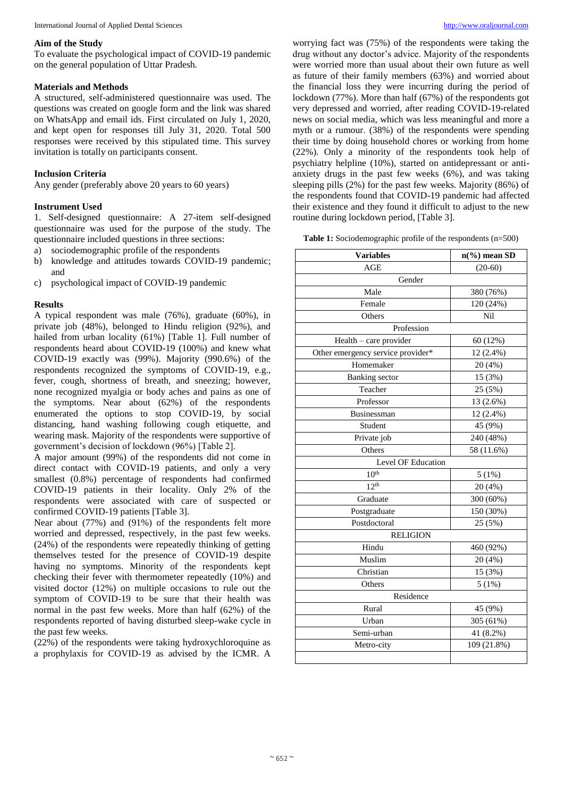# **Aim of the Study**

To evaluate the psychological impact of COVID-19 pandemic on the general population of Uttar Pradesh.

# **Materials and Methods**

A structured, self-administered questionnaire was used. The questions was created on google form and the link was shared on WhatsApp and email ids. First circulated on July 1, 2020, and kept open for responses till July 31, 2020. Total 500 responses were received by this stipulated time. This survey invitation is totally on participants consent.

# **Inclusion Criteria**

Any gender (preferably above 20 years to 60 years)

# **Instrument Used**

1. Self-designed questionnaire: A 27-item self-designed questionnaire was used for the purpose of the study. The questionnaire included questions in three sections:

- a) sociodemographic profile of the respondents
- b) knowledge and attitudes towards COVID-19 pandemic; and
- c) psychological impact of COVID-19 pandemic

# **Results**

A typical respondent was male (76%), graduate (60%), in private job (48%), belonged to Hindu religion (92%), and hailed from urban locality (61%) [Table 1]. Full number of respondents heard about COVID-19 (100%) and knew what COVID-19 exactly was (99%). Majority (990.6%) of the respondents recognized the symptoms of COVID-19, e.g., fever, cough, shortness of breath, and sneezing; however, none recognized myalgia or body aches and pains as one of the symptoms. Near about (62%) of the respondents enumerated the options to stop COVID-19, by social distancing, hand washing following cough etiquette, and wearing mask. Majority of the respondents were supportive of government's decision of lockdown (96%) [Table 2].

A major amount (99%) of the respondents did not come in direct contact with COVID-19 patients, and only a very smallest (0.8%) percentage of respondents had confirmed COVID-19 patients in their locality. Only 2% of the respondents were associated with care of suspected or confirmed COVID-19 patients [Table 3].

Near about (77%) and (91%) of the respondents felt more worried and depressed, respectively, in the past few weeks. (24%) of the respondents were repeatedly thinking of getting themselves tested for the presence of COVID-19 despite having no symptoms. Minority of the respondents kept checking their fever with thermometer repeatedly (10%) and visited doctor (12%) on multiple occasions to rule out the symptom of COVID-19 to be sure that their health was normal in the past few weeks. More than half (62%) of the respondents reported of having disturbed sleep-wake cycle in the past few weeks.

(22%) of the respondents were taking hydroxychloroquine as a prophylaxis for COVID-19 as advised by the ICMR. A

worrying fact was (75%) of the respondents were taking the drug without any doctor's advice. Majority of the respondents were worried more than usual about their own future as well as future of their family members (63%) and worried about the financial loss they were incurring during the period of lockdown (77%). More than half (67%) of the respondents got very depressed and worried, after reading COVID-19-related news on social media, which was less meaningful and more a myth or a rumour. (38%) of the respondents were spending their time by doing household chores or working from home (22%). Only a minority of the respondents took help of psychiatry helpline (10%), started on antidepressant or antianxiety drugs in the past few weeks (6%), and was taking sleeping pills (2%) for the past few weeks. Majority (86%) of the respondents found that COVID-19 pandemic had affected their existence and they found it difficult to adjust to the new routine during lockdown period, [Table 3].

**Table 1:** Sociodemographic profile of the respondents (n=500)

| <b>Variables</b>                  | $n\frac{6}{6}$ mean SD |  |  |
|-----------------------------------|------------------------|--|--|
| AGE                               | $(20-60)$              |  |  |
| Gender                            |                        |  |  |
| Male                              | 380 (76%)              |  |  |
| Female                            | 120 (24%)              |  |  |
| Others                            | Nil                    |  |  |
| Profession                        |                        |  |  |
| Health - care provider            | 60 (12%)               |  |  |
| Other emergency service provider* | 12 (2.4%)              |  |  |
| Homemaker                         | 20 (4%)                |  |  |
| <b>Banking</b> sector             | 15 (3%)                |  |  |
| Teacher                           | 25 (5%)                |  |  |
| Professor                         | 13 (2.6%)              |  |  |
| Businessman                       | 12 (2.4%)              |  |  |
| Student                           | 45 (9%)                |  |  |
| Private job                       | 240 (48%)              |  |  |
| Others                            | 58 (11.6%)             |  |  |
| Level OF Education                |                        |  |  |
| 10 <sup>th</sup>                  | 5(1%)                  |  |  |
| 12 <sup>th</sup>                  | 20 (4%)                |  |  |
| Graduate                          | 300 (60%)              |  |  |
| Postgraduate                      | 150 (30%)              |  |  |
| Postdoctoral                      | 25 (5%)                |  |  |
| <b>RELIGION</b>                   |                        |  |  |
| Hindu                             | 460 (92%)              |  |  |
| Muslim                            | 20 (4%)                |  |  |
| Christian                         | 15 (3%)                |  |  |
| Others                            | 5(1%)                  |  |  |
| Residence                         |                        |  |  |
| Rural                             | 45 (9%)                |  |  |
| Urban                             | 305 (61%)              |  |  |
| Semi-urban                        | 41 (8.2%)              |  |  |
| Metro-city                        | 109 (21.8%)            |  |  |
|                                   |                        |  |  |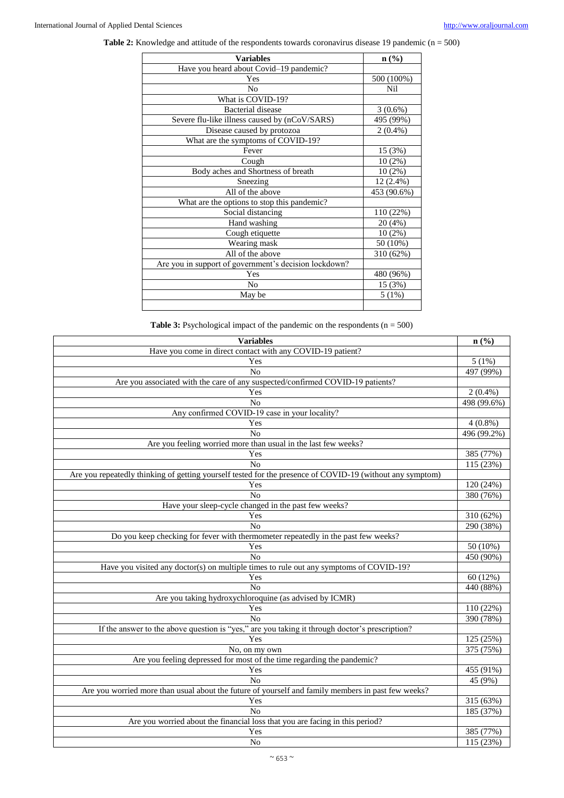Table 2: Knowledge and attitude of the respondents towards coronavirus disease 19 pandemic (n = 500)

| <b>Variables</b>                                      | $n\left(\frac{0}{0}\right)$ |
|-------------------------------------------------------|-----------------------------|
| Have you heard about Covid-19 pandemic?               |                             |
| Yes                                                   | 500 (100%)                  |
| N <sub>0</sub>                                        | Nil                         |
| What is COVID-19?                                     |                             |
| Bacterial disease                                     | $3(0.6\%)$                  |
| Severe flu-like illness caused by (nCoV/SARS)         | 495 (99%)                   |
| Disease caused by protozoa                            | $2(0.4\%)$                  |
| What are the symptoms of COVID-19?                    |                             |
| Fever                                                 | 15 (3%)                     |
| Cough                                                 | $10(2\%)$                   |
| Body aches and Shortness of breath                    | $10(2\%)$                   |
| Sneezing                                              | 12 (2.4%)                   |
| All of the above                                      | 453 (90.6%)                 |
| What are the options to stop this pandemic?           |                             |
| Social distancing                                     | 110 (22%)                   |
| Hand washing                                          | 20 (4%)                     |
| Cough etiquette                                       | $10(2\%)$                   |
| Wearing mask                                          | 50 (10%)                    |
| All of the above                                      | 310 (62%)                   |
| Are you in support of government's decision lockdown? |                             |
| Yes                                                   | 480 (96%)                   |
| N <sub>o</sub>                                        | 15 (3%)                     |
| May be                                                | 5(1%)                       |

**Table 3:** Psychological impact of the pandemic on the respondents  $(n = 500)$ 

| <b>Variables</b>                                                                                          | $n\left(\frac{0}{0}\right)$ |  |
|-----------------------------------------------------------------------------------------------------------|-----------------------------|--|
| Have you come in direct contact with any COVID-19 patient?                                                |                             |  |
| Yes                                                                                                       | 5(1%)                       |  |
| $\overline{No}$                                                                                           | 497 (99%)                   |  |
| Are you associated with the care of any suspected/confirmed COVID-19 patients?                            |                             |  |
| Yes                                                                                                       | $2(0.4\%)$                  |  |
| No                                                                                                        | 498 (99.6%)                 |  |
| Any confirmed COVID-19 case in your locality?                                                             |                             |  |
| Yes                                                                                                       | $4(0.8\%)$                  |  |
| No                                                                                                        | 496(99.2%)                  |  |
| Are you feeling worried more than usual in the last few weeks?                                            |                             |  |
| Yes                                                                                                       | 385 (77%)                   |  |
| No                                                                                                        | 115 (23%)                   |  |
| Are you repeatedly thinking of getting yourself tested for the presence of COVID-19 (without any symptom) |                             |  |
| Yes                                                                                                       | 120 (24%)                   |  |
| N <sub>0</sub>                                                                                            | 380 (76%)                   |  |
| Have your sleep-cycle changed in the past few weeks?                                                      |                             |  |
| Yes                                                                                                       | 310 (62%)                   |  |
| No                                                                                                        | 290 (38%)                   |  |
| Do you keep checking for fever with thermometer repeatedly in the past few weeks?                         |                             |  |
| Yes                                                                                                       | 50 (10%)                    |  |
| No                                                                                                        | 450 (90%)                   |  |
| Have you visited any doctor(s) on multiple times to rule out any symptoms of COVID-19?                    |                             |  |
| Yes                                                                                                       | 60 (12%)                    |  |
| No                                                                                                        | 440 (88%)                   |  |
| Are you taking hydroxychloroquine (as advised by ICMR)                                                    |                             |  |
| Yes                                                                                                       | 110 (22%)                   |  |
| No                                                                                                        | 390 (78%)                   |  |
| If the answer to the above question is "yes," are you taking it through doctor's prescription?            |                             |  |
| Yes                                                                                                       | 125 (25%)                   |  |
| No, on my own                                                                                             | 375 (75%)                   |  |
| Are you feeling depressed for most of the time regarding the pandemic?                                    |                             |  |
| Yes                                                                                                       | 455 (91%)                   |  |
| No                                                                                                        | 45 (9%)                     |  |
| Are you worried more than usual about the future of yourself and family members in past few weeks?        |                             |  |
| Yes                                                                                                       | 315 (63%)                   |  |
| N <sub>o</sub>                                                                                            | 185 (37%)                   |  |
| Are you worried about the financial loss that you are facing in this period?                              |                             |  |
| Yes                                                                                                       | 385 (77%)                   |  |
| No                                                                                                        | 115 (23%)                   |  |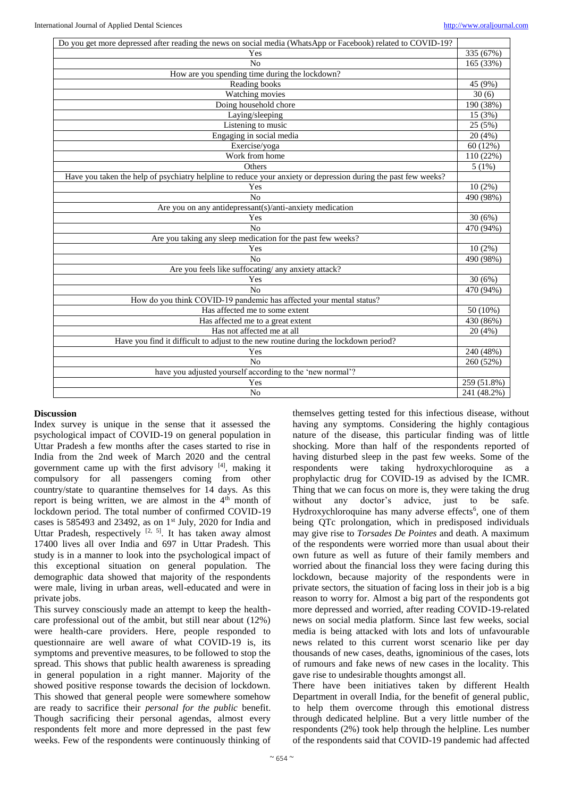| Do you get more depressed after reading the news on social media (WhatsApp or Facebook) related to COVID-19?   |             |
|----------------------------------------------------------------------------------------------------------------|-------------|
| Yes                                                                                                            | 335 (67%)   |
| No                                                                                                             | 165 (33%)   |
| How are you spending time during the lockdown?                                                                 |             |
| Reading books                                                                                                  | 45 (9%)     |
| Watching movies                                                                                                | 30(6)       |
| Doing household chore                                                                                          | 190 (38%)   |
| Laying/sleeping                                                                                                | 15 (3%)     |
| Listening to music                                                                                             | 25 (5%)     |
| Engaging in social media                                                                                       | 20(4%)      |
| Exercise/yoga                                                                                                  | 60 (12%)    |
| Work from home                                                                                                 | 110 (22%)   |
| Others                                                                                                         | 5(1%)       |
| Have you taken the help of psychiatry helpline to reduce your anxiety or depression during the past few weeks? |             |
| Yes                                                                                                            | $10(2\%)$   |
| No                                                                                                             | 490 (98%)   |
| Are you on any antidepressant(s)/anti-anxiety medication                                                       |             |
| Yes                                                                                                            | 30(6%)      |
| No                                                                                                             | 470 (94%)   |
| Are you taking any sleep medication for the past few weeks?                                                    |             |
| Yes                                                                                                            | $10(2\%)$   |
| No                                                                                                             | 490 (98%)   |
| Are you feels like suffocating/ any anxiety attack?                                                            |             |
| Yes                                                                                                            | 30(6%)      |
| No                                                                                                             | 470 (94%)   |
| How do you think COVID-19 pandemic has affected your mental status?                                            |             |
| Has affected me to some extent                                                                                 | 50 (10%)    |
| Has affected me to a great extent                                                                              | 430 (86%)   |
| Has not affected me at all                                                                                     | 20 (4%)     |
| Have you find it difficult to adjust to the new routine during the lockdown period?                            |             |
| Yes                                                                                                            | 240 (48%)   |
| No                                                                                                             | 260 (52%)   |
| have you adjusted yourself according to the 'new normal'?                                                      |             |
| Yes                                                                                                            | 259 (51.8%) |
| N <sub>o</sub>                                                                                                 | 241 (48.2%) |

## **Discussion**

Index survey is unique in the sense that it assessed the psychological impact of COVID-19 on general population in Uttar Pradesh a few months after the cases started to rise in India from the 2nd week of March 2020 and the central government came up with the first advisory [4], making it compulsory for all passengers coming from other country/state to quarantine themselves for 14 days. As this report is being written, we are almost in the 4<sup>th</sup> month of lockdown period. The total number of confirmed COVID-19 cases is 585493 and 23492, as on 1st July, 2020 for India and Uttar Pradesh, respectively  $[2, 5]$ . It has taken away almost 17400 lives all over India and 697 in Uttar Pradesh. This study is in a manner to look into the psychological impact of this exceptional situation on general population. The demographic data showed that majority of the respondents were male, living in urban areas, well-educated and were in private jobs.

This survey consciously made an attempt to keep the healthcare professional out of the ambit, but still near about (12%) were health-care providers. Here, people responded to questionnaire are well aware of what COVID-19 is, its symptoms and preventive measures, to be followed to stop the spread. This shows that public health awareness is spreading in general population in a right manner. Majority of the showed positive response towards the decision of lockdown. This showed that general people were somewhere somehow are ready to sacrifice their *personal for the public* benefit. Though sacrificing their personal agendas, almost every respondents felt more and more depressed in the past few weeks. Few of the respondents were continuously thinking of

themselves getting tested for this infectious disease, without having any symptoms. Considering the highly contagious nature of the disease, this particular finding was of little shocking. More than half of the respondents reported of having disturbed sleep in the past few weeks. Some of the respondents were taking hydroxychloroquine as a prophylactic drug for COVID-19 as advised by the ICMR. Thing that we can focus on more is, they were taking the drug without any doctor's advice, just to be safe. Hydroxychloroquine has many adverse effects<sup>6</sup>, one of them being QTc prolongation, which in predisposed individuals may give rise to *Torsades De Pointes* and death. A maximum of the respondents were worried more than usual about their own future as well as future of their family members and worried about the financial loss they were facing during this lockdown, because majority of the respondents were in private sectors, the situation of facing loss in their job is a big reason to worry for. Almost a big part of the respondents got more depressed and worried, after reading COVID-19-related news on social media platform. Since last few weeks, social media is being attacked with lots and lots of unfavourable news related to this current worst scenario like per day thousands of new cases, deaths, ignominious of the cases, lots of rumours and fake news of new cases in the locality. This gave rise to undesirable thoughts amongst all.

There have been initiatives taken by different Health Department in overall India, for the benefit of general public, to help them overcome through this emotional distress through dedicated helpline. But a very little number of the respondents (2%) took help through the helpline. Les number of the respondents said that COVID-19 pandemic had affected